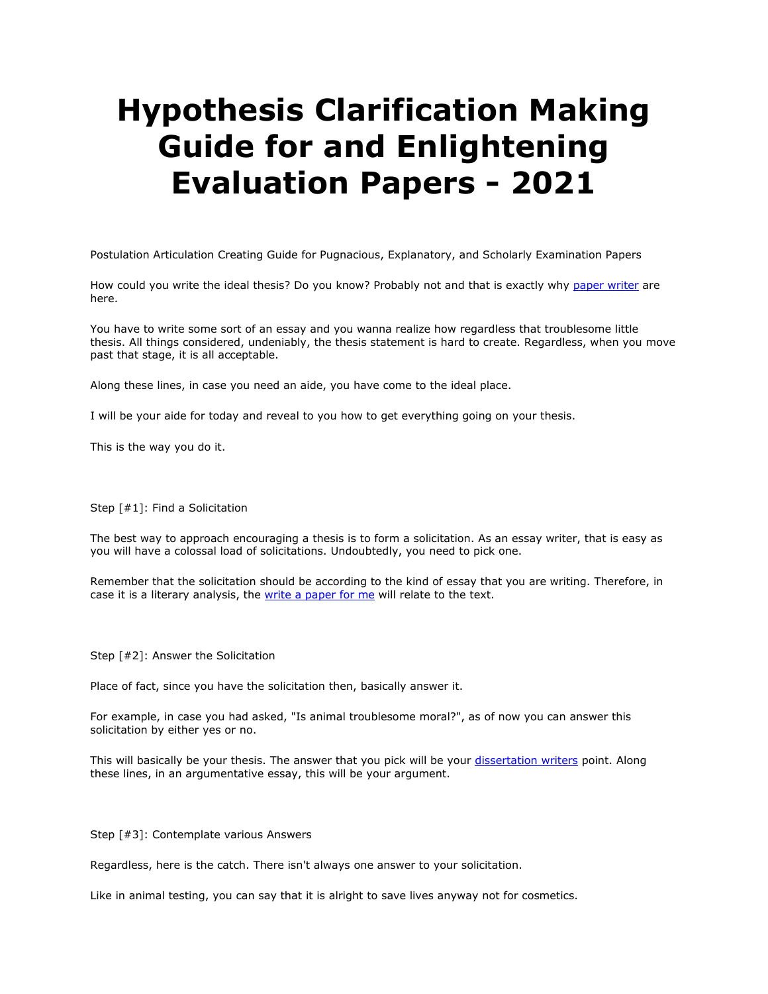## **Hypothesis Clarification Making Guide for and Enlightening Evaluation Papers - 2021**

Postulation Articulation Creating Guide for Pugnacious, Explanatory, and Scholarly Examination Papers

How could you write the ideal thesis? Do you know? Probably not and that is exactly why [paper writer](https://www.myperfectpaper.net/) are here.

You have to write some sort of an essay and you wanna realize how regardless that troublesome little thesis. All things considered, undeniably, the thesis statement is hard to create. Regardless, when you move past that stage, it is all acceptable.

Along these lines, in case you need an aide, you have come to the ideal place.

I will be your aide for today and reveal to you how to get everything going on your thesis.

This is the way you do it.

Step [#1]: Find a Solicitation

The best way to approach encouraging a thesis is to form a solicitation. As an essay writer, that is easy as you will have a colossal load of solicitations. Undoubtedly, you need to pick one.

Remember that the solicitation should be according to the kind of essay that you are writing. Therefore, in case it is a literary analysis, the [write a paper for me](https://www.myperfectpaper.net/) will relate to the text.

Step [#2]: Answer the Solicitation

Place of fact, since you have the solicitation then, basically answer it.

For example, in case you had asked, "Is animal troublesome moral?", as of now you can answer this solicitation by either yes or no.

This will basically be your thesis. The answer that you pick will be your [dissertation writers](https://www.gradschoolgenius.com/professional-dissertation-writers) point. Along these lines, in an argumentative essay, this will be your argument.

Step [#3]: Contemplate various Answers

Regardless, here is the catch. There isn't always one answer to your solicitation.

Like in animal testing, you can say that it is alright to save lives anyway not for cosmetics.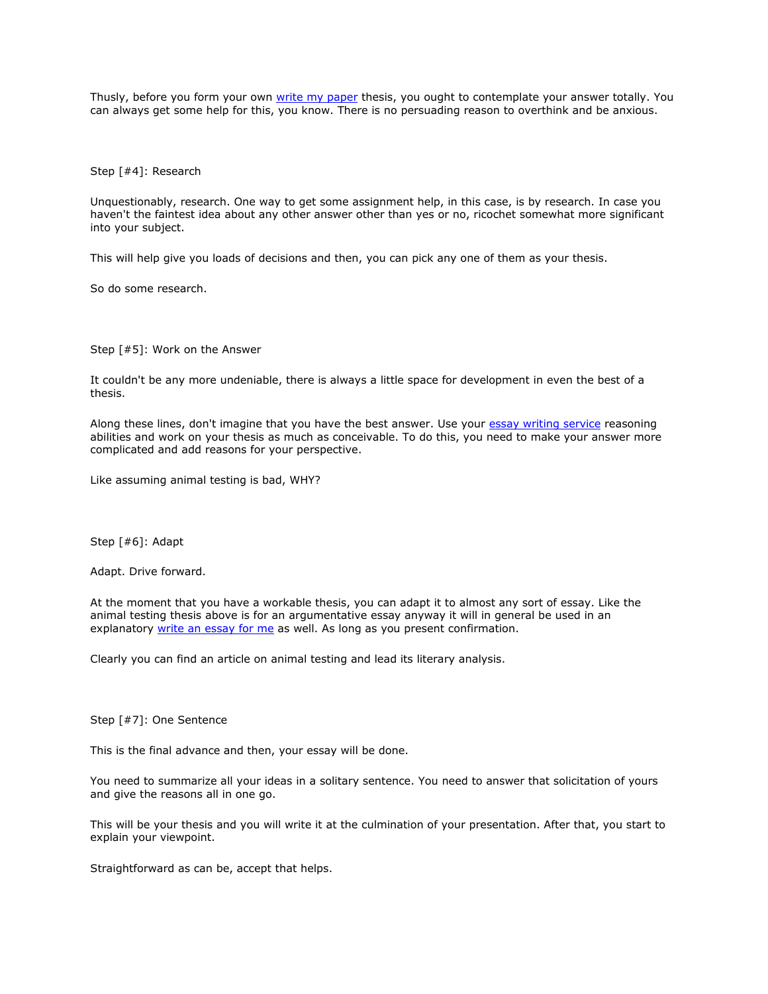Thusly, before you form your own [write my paper](https://www.sharkpapers.com/write-my-paper) thesis, you ought to contemplate your answer totally. You can always get some help for this, you know. There is no persuading reason to overthink and be anxious.

Step [#4]: Research

Unquestionably, research. One way to get some assignment help, in this case, is by research. In case you haven't the faintest idea about any other answer other than yes or no, ricochet somewhat more significant into your subject.

This will help give you loads of decisions and then, you can pick any one of them as your thesis.

So do some research.

Step [#5]: Work on the Answer

It couldn't be any more undeniable, there is always a little space for development in even the best of a thesis.

Along these lines, don't imagine that you have the best answer. Use your [essay writing service](https://www.essaywritingservice.college/) reasoning abilities and work on your thesis as much as conceivable. To do this, you need to make your answer more complicated and add reasons for your perspective.

Like assuming animal testing is bad, WHY?

Step [#6]: Adapt

Adapt. Drive forward.

At the moment that you have a workable thesis, you can adapt it to almost any sort of essay. Like the animal testing thesis above is for an argumentative essay anyway it will in general be used in an explanatory [write an essay for me](https://www.writemyessay.help/) as well. As long as you present confirmation.

Clearly you can find an article on animal testing and lead its literary analysis.

Step [#7]: One Sentence

This is the final advance and then, your essay will be done.

You need to summarize all your ideas in a solitary sentence. You need to answer that solicitation of yours and give the reasons all in one go.

This will be your thesis and you will write it at the culmination of your presentation. After that, you start to explain your viewpoint.

Straightforward as can be, accept that helps.